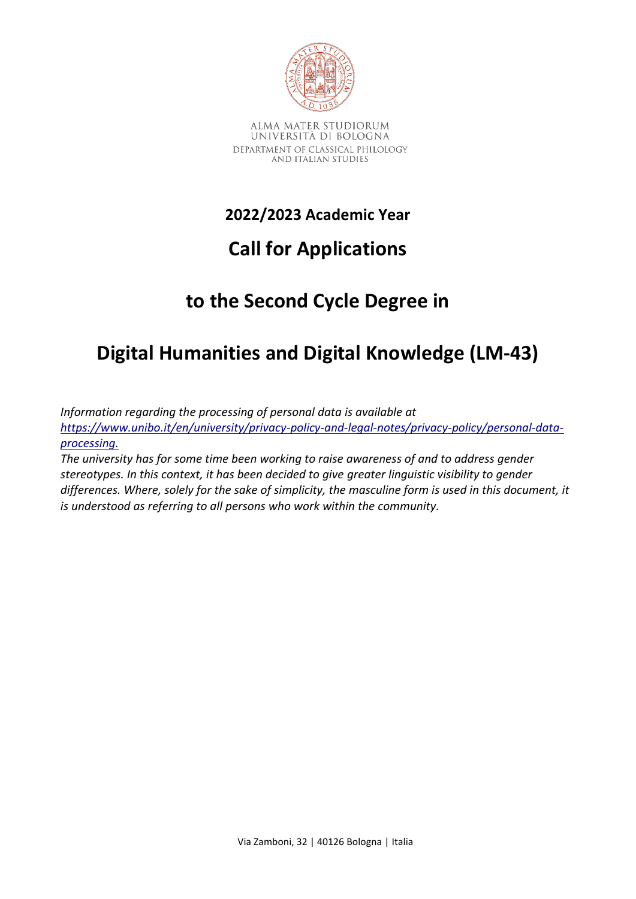

# **2022/2023 Academic Year**

# **Call for Applications**

# **to the Second Cycle Degree in**

# **Digital Humanities and Digital Knowledge (LM-43)**

*Information regarding the processing of personal data is available at [https://www.unibo.it/en/university/privacy-policy-and-legal-notes/privacy-policy/personal-data](https://www.unibo.it/en/university/privacy-policy-and-legal-notes/privacy-policy/personal-data-processing)[processing](https://www.unibo.it/en/university/privacy-policy-and-legal-notes/privacy-policy/personal-data-processing)[.](http://www.unibo.it/PrivacyBandiCds)*

*The university has for some time been working to raise awareness of and to address gender stereotypes. In this context, it has been decided to give greater linguistic visibility to gender differences. Where, solely for the sake of simplicity, the masculine form is used in this document, it is understood as referring to all persons who work within the community.*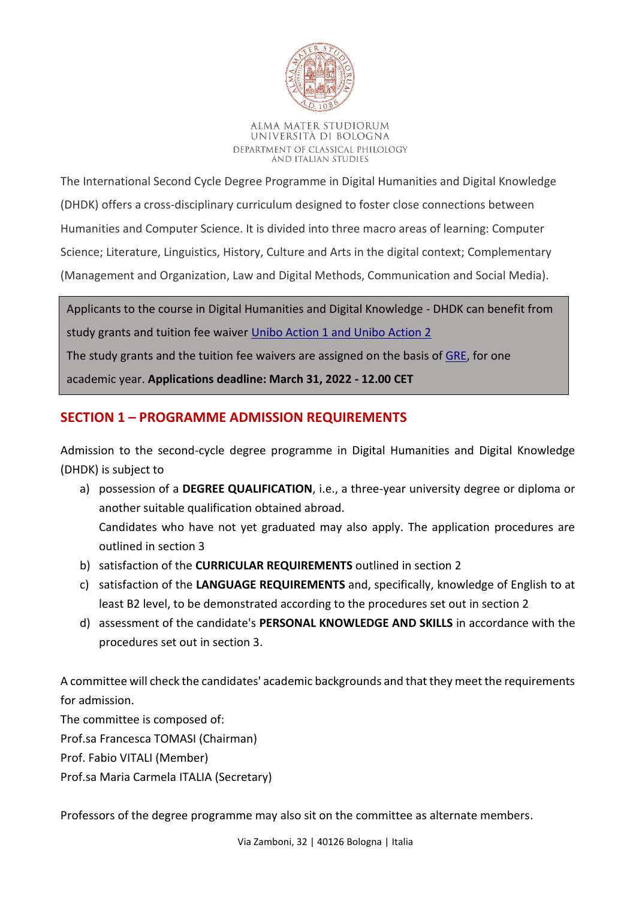

The International Second Cycle Degree Programme in Digital Humanities and Digital Knowledge (DHDK) offers a cross-disciplinary curriculum designed to foster close connections between Humanities and Computer Science. It is divided into three macro areas of learning: Computer Science; Literature, Linguistics, History, Culture and Arts in the digital context; Complementary (Management and Organization, Law and Digital Methods, Communication and Social Media).

Applicants to the course in Digital Humanities and Digital Knowledge - DHDK can benefit from study grants and tuition fee waiver [Unibo Action 1 and Unibo Action 2](https://www.unibo.it/en/services-and-opportunities/study-grants-and-subsidies/exemptions-and-incentives/unibo-actions-1-2-study-grants-and-tuition-fee-waivers-for-international-students/Unibo-actions-1-and--2-study-grants-and-tuition-fee-waivers-for-international-students)

The study grants and the tuition fee waivers are assigned on the basis of [GRE,](https://www.ets.org/gre/) for one

academic year. **Applications deadline: March 31, 2022 - 12.00 CET** 

# **SECTION 1 – PROGRAMME ADMISSION REQUIREMENTS**

Admission to the second-cycle degree programme in Digital Humanities and Digital Knowledge (DHDK) is subject to

- a) possession of a **DEGREE QUALIFICATION**, i.e., a three-year university degree or diploma or another suitable qualification obtained abroad. Candidates who have not yet graduated may also apply. The application procedures are outlined in section 3
- b) satisfaction of the **CURRICULAR REQUIREMENTS** outlined in section 2
- c) satisfaction of the **LANGUAGE REQUIREMENTS** and, specifically, knowledge of English to at least B2 level, to be demonstrated according to the procedures set out in section 2
- d) assessment of the candidate's **PERSONAL KNOWLEDGE AND SKILLS** in accordance with the procedures set out in section 3.

A committee will check the candidates' academic backgrounds and that they meet the requirements for admission.

The committee is composed of: Prof.sa Francesca TOMASI (Chairman) Prof. Fabio VITALI (Member) Prof.sa Maria Carmela ITALIA (Secretary)

Professors of the degree programme may also sit on the committee as alternate members.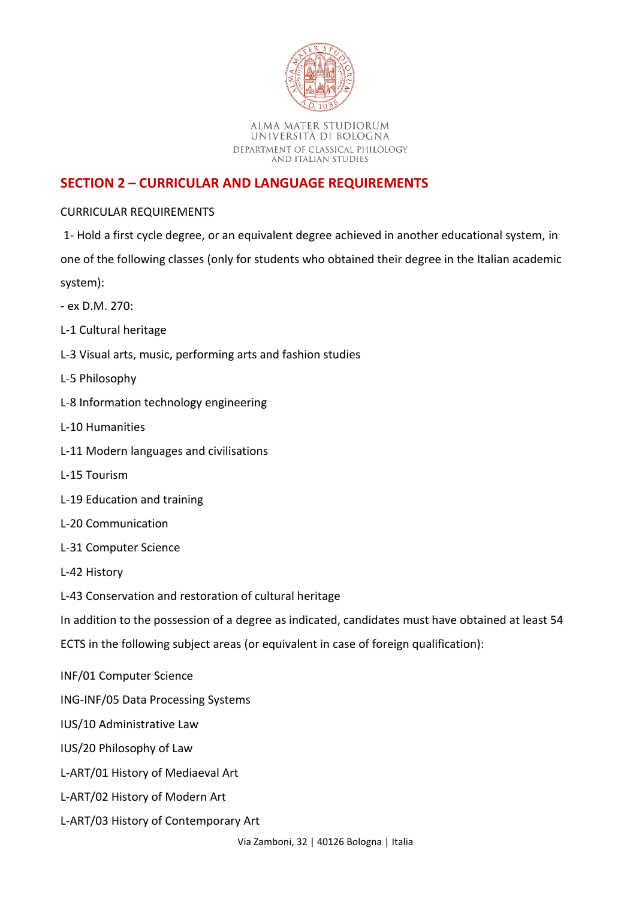

# **SECTION 2 – CURRICULAR AND LANGUAGE REQUIREMENTS**

## CURRICULAR REQUIREMENTS

1- Hold a first cycle degree, or an equivalent degree achieved in another educational system, in one of the following classes (only for students who obtained their degree in the Italian academic system):

- ex D.M. 270:
- L-1 Cultural heritage
- L-3 Visual arts, music, performing arts and fashion studies
- L-5 Philosophy
- L‐8 Information technology engineering
- L-10 Humanities
- L-11 Modern languages and civilisations
- L‐15 Tourism
- L-19 Education and training
- L-20 Communication
- L‐31 Computer Science
- L-42 History
- L-43 Conservation and restoration of cultural heritage

In addition to the possession of a degree as indicated, candidates must have obtained at least 54

ECTS in the following subject areas (or equivalent in case of foreign qualification):

- INF/01 Computer Science
- ING-INF/05 Data Processing Systems
- IUS/10 Administrative Law
- IUS/20 Philosophy of Law
- L-ART/01 History of Mediaeval Art
- L-ART/02 History of Modern Art
- L-ART/03 History of Contemporary Art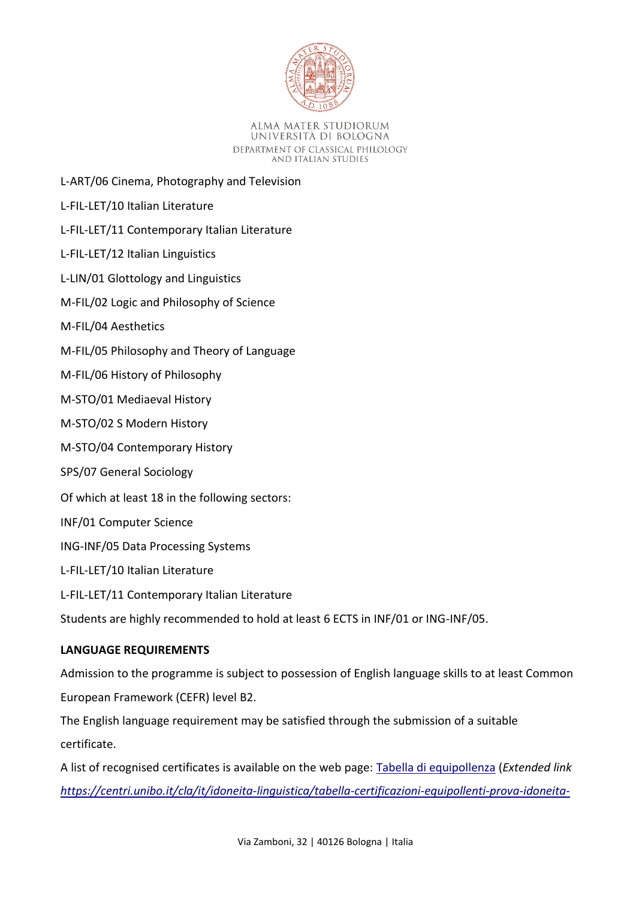

- L-ART/06 Cinema, Photography and Television
- L-FIL-LET/10 Italian Literature
- L-FIL-LET/11 Contemporary Italian Literature
- L-FIL-LET/12 Italian Linguistics
- L-LIN/01 Glottology and Linguistics
- M-FIL/02 Logic and Philosophy of Science
- M-FIL/04 Aesthetics
- M-FIL/05 Philosophy and Theory of Language
- M-FIL/06 History of Philosophy
- M-STO/01 Mediaeval History
- M-STO/02 S Modern History
- M-STO/04 Contemporary History
- SPS/07 General Sociology
- Of which at least 18 in the following sectors:
- INF/01 Computer Science
- ING-INF/05 Data Processing Systems
- L-FIL-LET/10 Italian Literature
- L-FIL-LET/11 Contemporary Italian Literature
- Students are highly recommended to hold at least 6 ECTS in INF/01 or ING-INF/05.

## **LANGUAGE REQUIREMENTS**

Admission to the programme is subject to possession of English language skills to at least Common European Framework (CEFR) level B2.

The English language requirement may be satisfied through the submission of a suitable certificate.

A list of recognised certificates is available on the web page: [Tabella di equipollenza](https://centri.unibo.it/cla/it/idoneita-linguistica/tabella-certificazioni-equipollenti-prova-idoneita-linguistica-1.pdf/@@download/file/Tabella%20certificazioni%20equipollenti%20prova%20idoneita%20linguistica.pdf) (*Extended link [https://centri.unibo.it/cla/it/idoneita-linguistica/tabella-certificazioni-equipollenti-prova-idoneita-](https://centri.unibo.it/cla/it/idoneita-linguistica/tabella-certificazioni-equipollenti-prova-idoneita-linguistica1.pdf/@@download/file/Tabella%20certificazioni%20equipollenti%20prova%20idoneita%20linguistica.pdf)*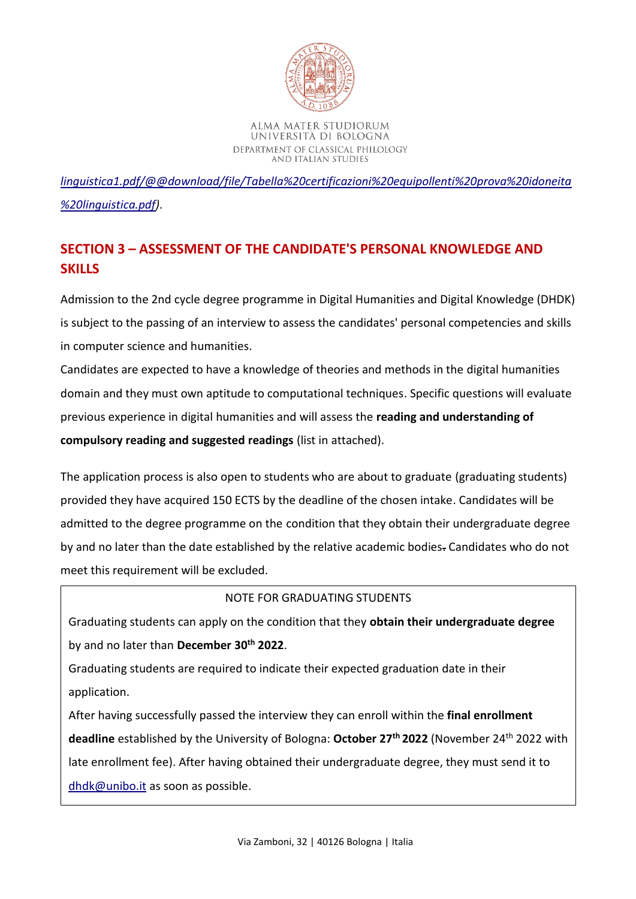

*[linguistica1.pdf/@@download/file/Tabella%20certificazioni%20equipollenti%20prova%20idoneita](https://centri.unibo.it/cla/it/idoneita-linguistica/tabella-certificazioni-equipollenti-prova-idoneita-linguistica1.pdf/@@download/file/Tabella%20certificazioni%20equipollenti%20prova%20idoneita%20linguistica.pdf) [%20linguistica.pdf\)](https://centri.unibo.it/cla/it/idoneita-linguistica/tabella-certificazioni-equipollenti-prova-idoneita-linguistica1.pdf/@@download/file/Tabella%20certificazioni%20equipollenti%20prova%20idoneita%20linguistica.pdf)*.

# **SECTION 3 – ASSESSMENT OF THE CANDIDATE'S PERSONAL KNOWLEDGE AND SKILLS**

Admission to the 2nd cycle degree programme in Digital Humanities and Digital Knowledge (DHDK) is subject to the passing of an interview to assess the candidates' personal competencies and skills in computer science and humanities.

Candidates are expected to have a knowledge of theories and methods in the digital humanities domain and they must own aptitude to computational techniques. Specific questions will evaluate previous experience in digital humanities and will assess the **reading and understanding of compulsory reading and suggested readings** (list in attached).

The application process is also open to students who are about to graduate (graduating students) provided they have acquired 150 ECTS by the deadline of the chosen intake. Candidates will be admitted to the degree programme on the condition that they obtain their undergraduate degree by and no later than the date established by the relative academic bodies. Candidates who do not meet this requirement will be excluded.

# NOTE FOR GRADUATING STUDENTS

Graduating students can apply on the condition that they **obtain their undergraduate degree** by and no later than **December 30th 2022**.

Graduating students are required to indicate their expected graduation date in their application.

After having successfully passed the interview they can enroll within the **final enrollment deadline** established by the University of Bologna: **October 27th 2022** (November 24th 2022 with late enrollment fee). After having obtained their undergraduate degree, they must send it to [dhdk@unibo.it](mailto:dhdk@unibo.it) as soon as possible.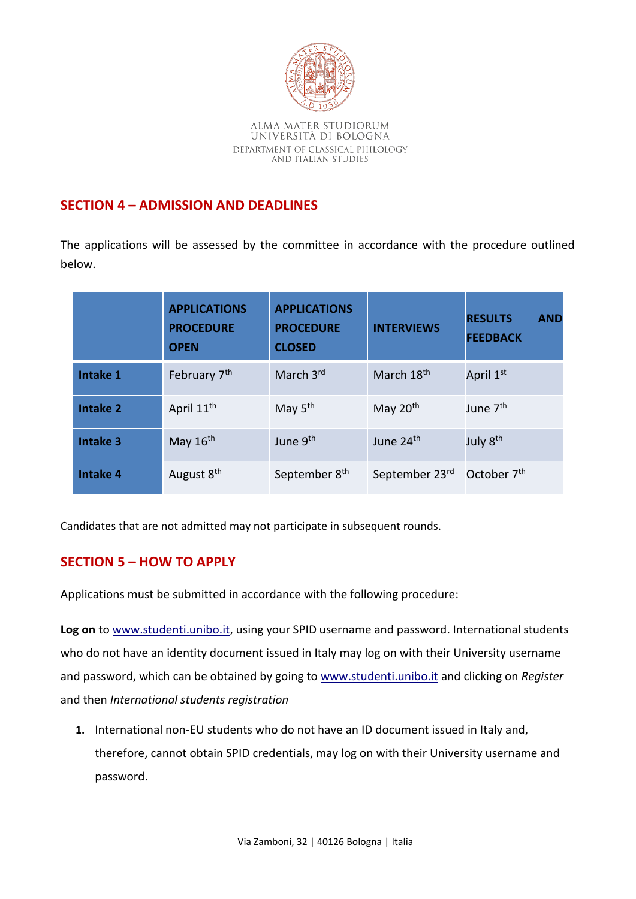

# **SECTION 4 – ADMISSION AND DEADLINES**

The applications will be assessed by the committee in accordance with the procedure outlined below.

|                 | <b>APPLICATIONS</b><br><b>PROCEDURE</b><br><b>OPEN</b> | <b>APPLICATIONS</b><br><b>PROCEDURE</b><br><b>CLOSED</b> | <b>INTERVIEWS</b>      | <b>AND</b><br><b>RESULTS</b><br><b>FEEDBACK</b> |
|-----------------|--------------------------------------------------------|----------------------------------------------------------|------------------------|-------------------------------------------------|
| Intake 1        | February 7 <sup>th</sup>                               | March 3rd                                                | March 18 <sup>th</sup> | April 1st                                       |
| <b>Intake 2</b> | April 11 <sup>th</sup>                                 | May 5 <sup>th</sup>                                      | May 20 <sup>th</sup>   | June 7 <sup>th</sup>                            |
| <b>Intake 3</b> | May $16th$                                             | June 9th                                                 | June 24th              | July 8 <sup>th</sup>                            |
| <b>Intake 4</b> | August 8th                                             | September 8 <sup>th</sup>                                | September 23rd         | October 7 <sup>th</sup>                         |

Candidates that are not admitted may not participate in subsequent rounds.

# **SECTION 5 – HOW TO APPLY**

Applications must be submitted in accordance with the following procedure:

**Log on** to [www.studenti.unibo.it,](http://www.studenti.unibo.it/) using your SPID username and password. International students who do not have an identity document issued in Italy may log on with their University username and password, which can be obtained by going to www.studenti.unibo.it and clicking on *Register*  and then *International students registration*

**1.** International non-EU students who do not have an ID document issued in Italy and, therefore, cannot obtain SPID credentials, may log on with their University username and password.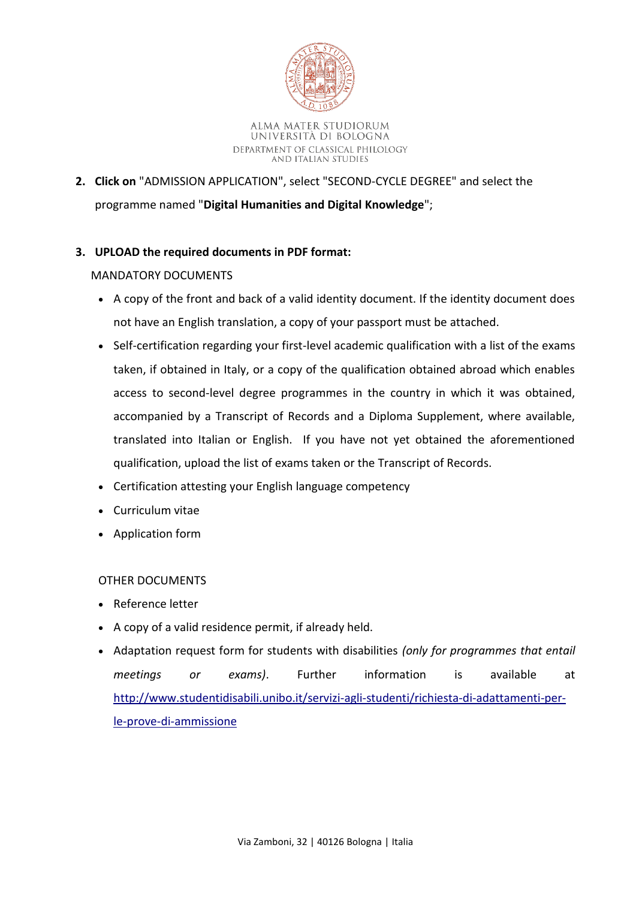

**2. Click on** "ADMISSION APPLICATION", select "SECOND-CYCLE DEGREE" and select the programme named "**Digital Humanities and Digital Knowledge**";

## **3. UPLOAD the required documents in PDF format:**

## MANDATORY DOCUMENTS

- A copy of the front and back of a valid identity document. If the identity document does not have an English translation, a copy of your passport must be attached.
- Self-certification regarding your first-level academic qualification with a list of the exams taken, if obtained in Italy, or a copy of the qualification obtained abroad which enables access to second-level degree programmes in the country in which it was obtained, accompanied by a Transcript of Records and a Diploma Supplement, where available, translated into Italian or English. If you have not yet obtained the aforementioned qualification, upload the list of exams taken or the Transcript of Records.
- Certification attesting your English language competency
- Curriculum vitae
- Application form

## OTHER DOCUMENTS

- Reference letter
- A copy of a valid residence permit, if already held.
- Adaptation request form for students with disabilities *(only for programmes that entail meetings or exams)*. Further information is available at [http://www.studentidisabili.unibo.it/servizi-agli-studenti/richiesta-di-adattamenti-per](http://www.studentidisabili.unibo.it/servizi-agli-studenti/richiesta-di-adattamenti-per-le-prove-di-ammissione)[le-prove-di-ammissione](http://www.studentidisabili.unibo.it/servizi-agli-studenti/richiesta-di-adattamenti-per-le-prove-di-ammissione)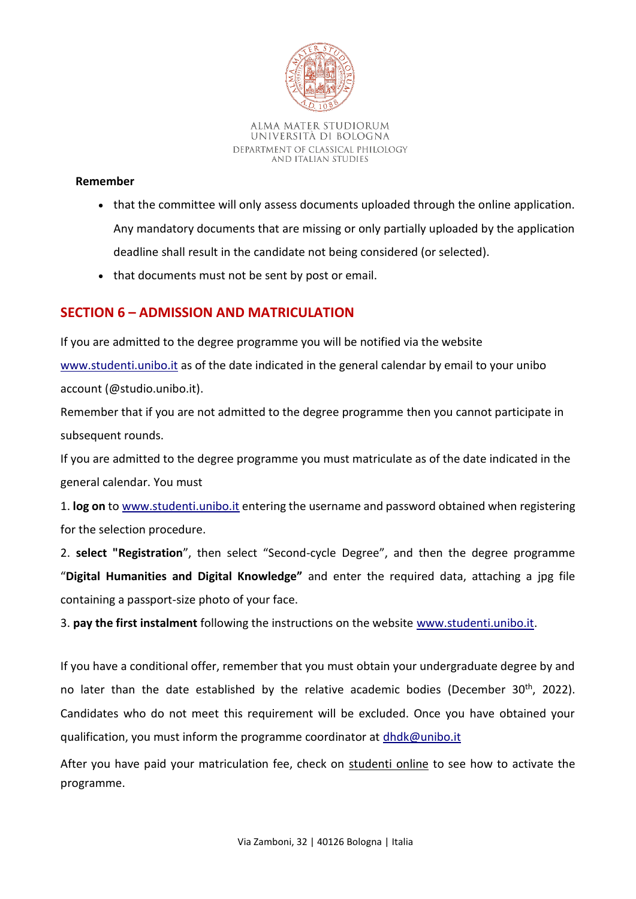

### **Remember**

- that the committee will only assess documents uploaded through the online application. Any mandatory documents that are missing or only partially uploaded by the application deadline shall result in the candidate not being considered (or selected).
- that documents must not be sent by post or email.

# **SECTION 6 – ADMISSION AND MATRICULATION**

If you are admitted to the degree programme you will be notified via the website [www.studenti.unibo.it](http://www.studenti.unibo.it/) as of the date indicated in the general calendar by email to your unibo account (@studio.unibo.it).

Remember that if you are not admitted to the degree programme then you cannot participate in subsequent rounds.

If you are admitted to the degree programme you must matriculate as of the date indicated in the general calendar. You must

1. **log on** to www.studenti.unibo.it entering the username and password obtained when registering for the selection procedure.

2. **select "Registration**", then select "Second-cycle Degree", and then the degree programme "**Digital Humanities and Digital Knowledge"** and enter the required data, attaching a jpg file containing a passport-size photo of your face.

3. **pay the first instalment** following the instructions on the website [www.studenti.unibo.it.](http://www.studenti.unibo.it/)

If you have a conditional offer, remember that you must obtain your undergraduate degree by and no later than the date established by the relative academic bodies (December 30<sup>th</sup>, 2022). Candidates who do not meet this requirement will be excluded. Once you have obtained your qualification, you must inform the programme coordinator at [dhdk@unibo.it](mailto:dhdk@unibo.it)

After you have paid your matriculation fee, check on [studenti online](https://studenti.unibo.it/sol/welcome.htm?siteLanguage=en) to see how to activate the programme.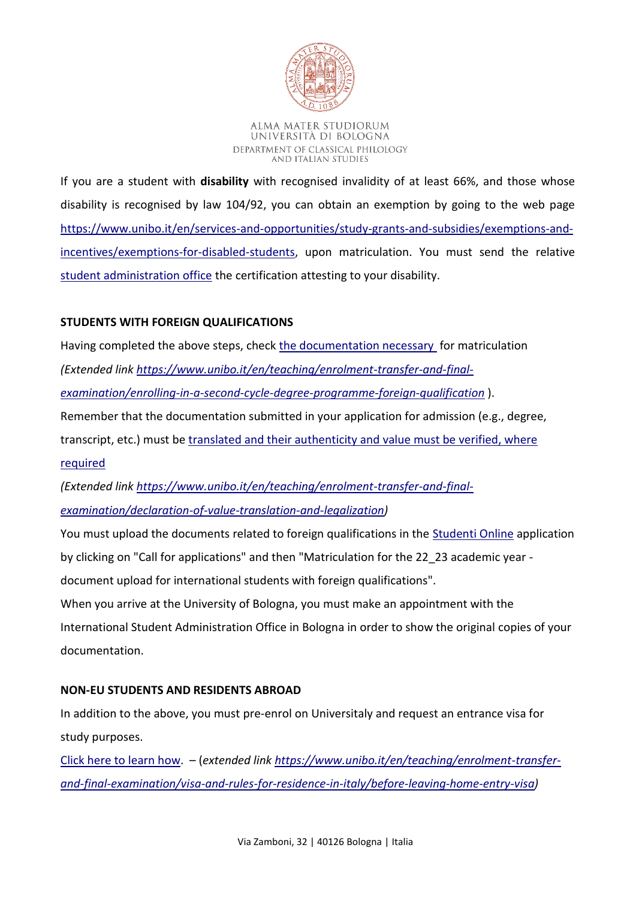

If you are a student with **disability** with recognised invalidity of at least 66%, and those whose disability is recognised by law 104/92, you can obtain an exemption by going to the web page [https://www.unibo.it/en/services-and-opportunities/study-grants-and-subsidies/exemptions-and](https://www.unibo.it/en/services-and-opportunities/study-grants-and-subsidies/exemptions-and-incentives/exemptions-for-disabled-students)[incentives/exemptions-for-disabled-students,](https://www.unibo.it/en/services-and-opportunities/study-grants-and-subsidies/exemptions-and-incentives/exemptions-for-disabled-students) upon matriculation. You must send the relative [student administration office](https://www.unibo.it/en/teaching/enrolment-transfer-and-final-examination/student-administration-office) the certification attesting to your disability.

# **STUDENTS WITH FOREIGN QUALIFICATIONS**

Having completed the above steps, check [the documentation necessary](https://www.unibo.it/en/teaching/enrolment-transfer-and-final-examination/enrolling-in-a-second-cycle-degree-programme-foreign-qualification) for matriculation

*(Extended link [https://www.unibo.it/en/teaching/enrolment-transfer-and-final-](https://www.unibo.it/en/teaching/enrolment-transfer-and-final-examination/enrolling-in-a-second-cycle-degree-programme-foreign-qualification)*

*[examination/enrolling-in-a-second-cycle-degree-programme-foreign-qualification](https://www.unibo.it/en/teaching/enrolment-transfer-and-final-examination/enrolling-in-a-second-cycle-degree-programme-foreign-qualification)* ).

Remember that the documentation submitted in your application for admission (e.g., degree,

transcript, etc.) must be [translated and their authenticity and value must be verified, where](https://www.unibo.it/en/teaching/enrolment-transfer-and-final-examination/declaration-of-value-translation-and-legalization)  [required](https://www.unibo.it/en/teaching/enrolment-transfer-and-final-examination/declaration-of-value-translation-and-legalization)

*(Extended link [https://www.unibo.it/en/teaching/enrolment-transfer-and-final](https://www.unibo.it/en/teaching/enrolment-transfer-and-final-examination/declaration-of-value-translation-and-legalization)[examination/declaration-of-value-translation-and-legalization\)](https://www.unibo.it/en/teaching/enrolment-transfer-and-final-examination/declaration-of-value-translation-and-legalization)*

You must upload the documents related to foreign qualifications in the [Studenti Online](https://studenti.unibo.it/sol/welcome.htm?siteLanguage=en) application by clicking on "Call for applications" and then "Matriculation for the 22\_23 academic year document upload for international students with foreign qualifications".

When you arrive at the University of Bologna, you must make an appointment with the International Student Administration Office in Bologna in order to show the original copies of your documentation.

## **NON-EU STUDENTS AND RESIDENTS ABROAD**

In addition to the above, you must pre-enrol on Universitaly and request an entrance visa for study purposes.

[Click here to learn](https://www.unibo.it/en/teaching/enrolment-transfer-and-final-examination/visa-and-rules-for-residence-in-italy/before-leaving-home-entry-visa) how. – (*extended link [https://www.unibo.it/en/teaching/enrolment-transfer](https://www.unibo.it/en/teaching/enrolment-transfer-and-final-examination/visa-and-rules-for-residence-in-italy/before-leaving-home-entry-visa)[and-final-examination/visa-and-rules-for-residence-in-italy/before-leaving-home-entry-visa\)](https://www.unibo.it/en/teaching/enrolment-transfer-and-final-examination/visa-and-rules-for-residence-in-italy/before-leaving-home-entry-visa)*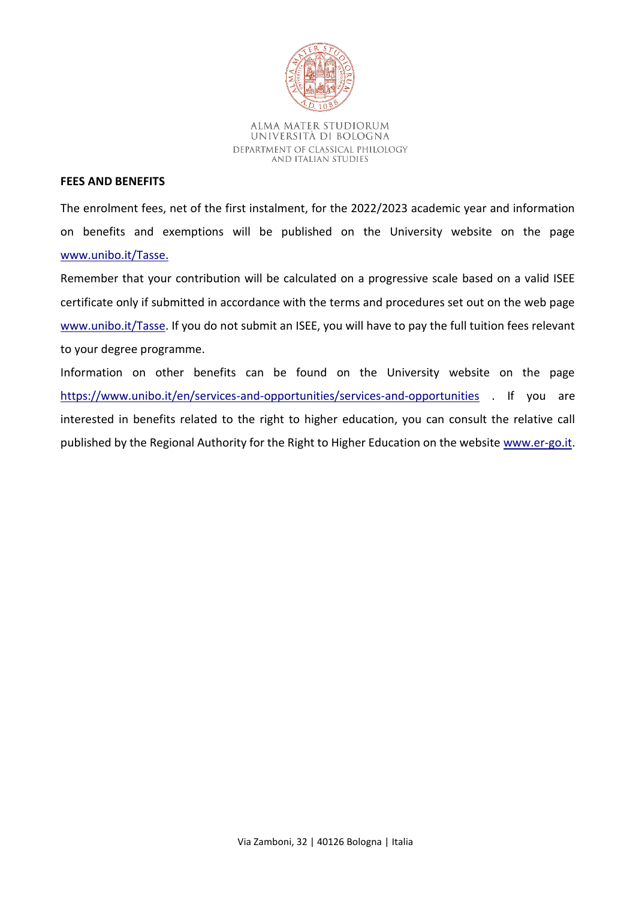

#### **FEES AND BENEFITS**

The enrolment fees, net of the first instalment, for the 2022/2023 academic year and information on benefits and exemptions will be published on the University website on the page [www.unibo.it/Tasse.](http://www.unibo.it/Tasse)

Remember that your contribution will be calculated on a progressive scale based on a valid ISEE certificate only if submitted in accordance with the terms and procedures set out on the web page [www.unibo.it/Tasse.](http://www.unibo.it/Tasse) If you do not submit an ISEE, you will have to pay the full tuition fees relevant to your degree programme.

Information on other benefits can be found on the University website on the page <https://www.unibo.it/en/services-and-opportunities/services-and-opportunities> . If you are interested in benefits related to the right to higher education, you can consult the relative call published by the Regional Authority for the Right to Higher Education on the website [www.er-go.it.](http://www.er-go.it/)